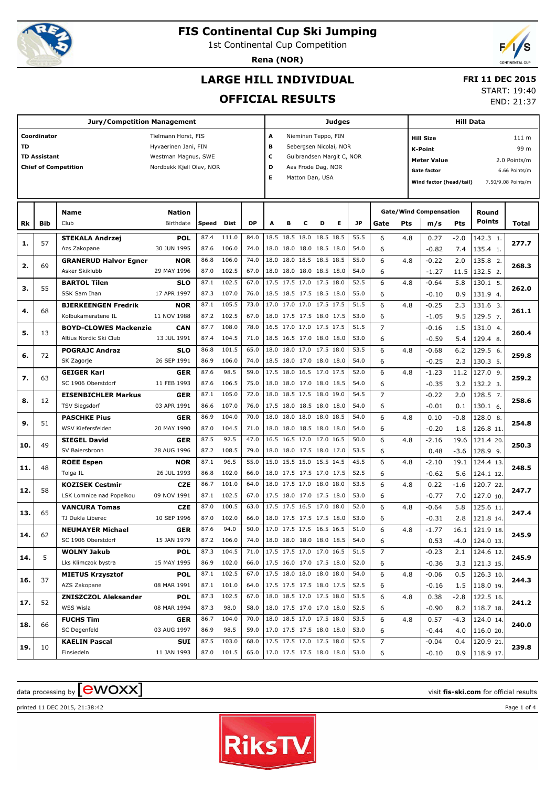

1st Continental Cup Competition

**Rena (NOR)**



## **LARGE HILL INDIVIDUAL**

#### **FRI 11 DEC 2015**

**OFFICIAL RESULTS**

START: 19:40

END: 21:37

|     |                     | <b>Jury/Competition Management</b>        |                           |              |                     |              |                          |   |                          |   | Judges                    |              |                | <b>Hill Data</b> |                               |             |                        |                    |
|-----|---------------------|-------------------------------------------|---------------------------|--------------|---------------------|--------------|--------------------------|---|--------------------------|---|---------------------------|--------------|----------------|------------------|-------------------------------|-------------|------------------------|--------------------|
|     | Coordinator         |                                           | Tielmann Horst, FIS       |              |                     |              | Α                        |   | Nieminen Teppo, FIN      |   |                           |              |                |                  | <b>Hill Size</b>              |             |                        | 111 m              |
| TD  |                     |                                           | Hyvaerinen Jani, FIN      |              |                     |              | в                        |   |                          |   | Sebergsen Nicolai, NOR    |              |                |                  | <b>K-Point</b>                |             |                        | 99 m               |
|     | <b>TD Assistant</b> |                                           | Westman Magnus, SWE       |              |                     |              | c                        |   |                          |   | Gulbrandsen Margit C, NOR |              |                |                  | <b>Meter Value</b>            |             |                        | 2.0 Points/m       |
|     |                     | <b>Chief of Competition</b>               | Nordbekk Kjell Olav, NOR  |              |                     |              | D                        |   | Aas Frode Dag, NOR       |   |                           |              |                |                  | <b>Gate factor</b>            |             |                        | 6.66 Points/m      |
|     |                     |                                           |                           |              |                     |              | Е                        |   | Matton Dan, USA          |   |                           |              |                |                  |                               |             |                        |                    |
|     |                     |                                           |                           |              |                     |              |                          |   |                          |   |                           |              |                |                  | Wind factor (head/tail)       |             |                        | 7.50/9.08 Points/m |
|     |                     |                                           |                           |              |                     |              |                          |   |                          |   |                           |              |                |                  |                               |             |                        |                    |
|     |                     | Name                                      | <b>Nation</b>             |              |                     |              |                          |   |                          |   |                           |              |                |                  | <b>Gate/Wind Compensation</b> |             | Round                  |                    |
| Rk  | Bib                 | Club                                      | Birthdate                 | Speed        | Dist                | DP           | A                        | в | c                        | D | Е                         | JP           | Gate           | Pts              | m/s                           | Pts         | <b>Points</b>          | Total              |
|     |                     | <b>STEKALA Andrzej</b>                    | <b>POL</b>                | 87.4         | 111.0               | 84.0         |                          |   | 18.5 18.5 18.0 18.5 18.5 |   |                           | 55.5         | 6              | 4.8              | 0.27                          | $-2.0$      | 142.3 1.               |                    |
| 1.  | 57                  | Azs Zakopane                              | 30 JUN 1995               | 87.6         | 106.0               | 74.0         |                          |   | 18.0 18.0 18.0 18.5 18.0 |   |                           | 54.0         | 6              |                  | $-0.82$                       | 7.4         | 135.4 1.               | 277.7              |
| 2.  | 69                  | <b>GRANERUD Halvor Egner</b>              | NOR                       | 86.8         | 106.0               | 74.0         | 18.0                     |   | 18.0 18.5 18.5 18.5      |   |                           | 55.0         | 6              | 4.8              | $-0.22$                       | 2.0         | 135.8 2.               | 268.3              |
|     |                     | Asker Skiklubb                            | 29 MAY 1996               | 87.0         | 102.5               | 67.0         |                          |   | 18.0 18.0 18.0 18.5 18.0 |   |                           | 54.0         | 6              |                  | $-1.27$                       | 11.5        | 132.5 2.               |                    |
| з.  | 55                  | <b>BARTOL Tilen</b>                       | <b>SLO</b>                | 87.1         | 102.5               | 67.0         |                          |   | 17.5 17.5 17.0 17.5 18.0 |   |                           | 52.5         | 6              | 4.8              | $-0.64$                       | 5.8         | 130.1 5.               | 262.0              |
|     |                     | SSK Sam Ihan                              | 17 APR 1997               | 87.3         | 107.0               | 76.0         |                          |   | 18.5 18.5 17.5 18.5 18.0 |   |                           | 55.0         | 6              |                  | $-0.10$                       | 0.9         | 131.9 4.               |                    |
| 4.  | 68                  | <b>BJERKEENGEN Fredrik</b>                | NOR                       | 87.1         | 105.5               | 73.0         |                          |   | 17.0 17.0 17.0 17.5 17.5 |   |                           | 51.5         | 6              | 4.8              | $-0.25$                       | 2.3         | 131.6 3.               | 261.1              |
|     |                     | Kolbukameratene IL                        | 11 NOV 1988               | 87.2         | 102.5               | 67.0         |                          |   | 18.0 17.5 17.5 18.0 17.5 |   |                           | 53.0         | 6              |                  | $-1.05$                       | 9.5         | 129.5 7.               |                    |
| 5.  | 13                  | <b>BOYD-CLOWES Mackenzie</b>              | <b>CAN</b>                | 87.7         | 108.0               | 78.0         |                          |   | 16.5 17.0 17.0 17.5 17.5 |   |                           | 51.5         | $\overline{7}$ |                  | $-0.16$                       | 1.5         | 131.0 4.               | 260.4              |
|     |                     | Altius Nordic Ski Club                    | 13 JUL 1991               | 87.4         | 104.5               | 71.0         |                          |   | 18.5 16.5 17.0 18.0 18.0 |   |                           | 53.0         | 6              |                  | $-0.59$                       | 5.4         | 129.4 8.               |                    |
| 6.  | 72                  | <b>POGRAJC Andraz</b>                     | <b>SLO</b>                | 86.8         | 101.5               | 65.0         | 18.0                     |   | 18.0 17.0 17.5 18.0      |   |                           | 53.5         | 6              | 4.8              | $-0.68$                       | 6.2         | 129.5 6.               | 259.8              |
|     |                     | SK Zagorje                                | 26 SEP 1991               | 86.9         | 106.0               | 74.0         |                          |   | 18.5 18.0 17.0 18.0 18.0 |   |                           | 54.0         | 6              |                  | $-0.25$                       | 2.3         | 130.3 5.               |                    |
| 7.  | 63                  | <b>GEIGER Karl</b>                        | <b>GER</b>                | 87.6         | 98.5                | 59.0         |                          |   | 17.5 18.0 16.5 17.0 17.5 |   |                           | 52.0         | 6              | 4.8              | $-1.23$                       | 11.2        | 127.0 9.               | 259.2              |
|     |                     | SC 1906 Oberstdorf                        | 11 FEB 1993               | 87.6         | 106.5               | 75.0         |                          |   | 18.0 18.0 17.0 18.0 18.5 |   |                           | 54.0         | 6              |                  | $-0.35$                       | 3.2         | 132.2 3.               |                    |
| 8.  | 12                  | <b>EISENBICHLER Markus</b>                | <b>GER</b>                | 87.1         | 105.0               | 72.0         | 18.0                     |   | 18.5 17.5 18.0 19.0      |   |                           | 54.5         | $\overline{7}$ |                  | $-0.22$                       | 2.0         | 128.5 7.               | 258.6              |
|     |                     | <b>TSV Siegsdorf</b>                      | 03 APR 1991               | 86.6         | 107.0               | 76.0         |                          |   | 17.5 18.0 18.5 18.0 18.0 |   |                           | 54.0         | 6              |                  | $-0.01$                       | 0.1         | 130.1 6.               |                    |
| 9.  | 51                  | <b>PASCHKE Pius</b>                       | <b>GER</b>                | 86.9         | 104.0               | 70.0         | 18.0                     |   | 18.0 18.0 18.0 18.5      |   |                           | 54.0         | 6              | 4.8              | 0.10                          | $-0.8$      | 128.0 8.               | 254.8              |
|     |                     | WSV Kiefersfelden                         | 20 MAY 1990               | 87.0         | 104.5               | 71.0         |                          |   | 18.0 18.0 18.5 18.0 18.0 |   |                           | 54.0         | 6              |                  | $-0.20$                       | 1.8         | 126.8 11.              |                    |
| 10. | 49                  | <b>SIEGEL David</b>                       | <b>GER</b>                | 87.5         | 92.5                | 47.0         |                          |   | 16.5 16.5 17.0 17.0 16.5 |   |                           | 50.0         | 6              | 4.8              | $-2.16$                       | 19.6        | 121.4 20.              | 250.3              |
|     |                     | SV Baiersbronn                            | 28 AUG 1996               | 87.2         | 108.5               | 79.0         |                          |   | 18.0 18.0 17.5 18.0 17.0 |   |                           | 53.5         | 6              |                  | 0.48                          | $-3.6$      | 128.9 9.               |                    |
| 11. | 48                  | <b>ROEE Espen</b>                         | NOR                       | 87.1         | 96.5                | 55.0         |                          |   | 15.0 15.5 15.0 15.5 14.5 |   |                           | 45.5         | 6              | 4.8              | $-2.10$                       | 19.1        | 124.4 13.              | 248.5              |
|     |                     | Tolga IL                                  | 26 JUL 1993               | 86.8         | 102.0               | 66.0         |                          |   | 18.0 17.5 17.5 17.0 17.5 |   |                           | 52.5         | 6              |                  | $-0.62$                       | 5.6         | 124.1 12.              |                    |
| 12. | 58                  | <b>KOZISEK Cestmir</b>                    | <b>CZE</b>                | 86.7         | 101.0               | 64.0         |                          |   | 18.0 17.5 17.0 18.0 18.0 |   |                           | 53.5         | 6              | 4.8              | 0.22                          | $-1.6$      | 120.7 22.              | 247.7              |
|     |                     | LSK Lomnice nad Popelkou                  | 09 NOV 1991               | 87.1         | 102.5               | 67.0         |                          |   | 17.5 18.0 17.0 17.5 18.0 |   |                           | 53.0         | 6              |                  | $-0.77$                       | 7.0         | 127.0 10.              |                    |
| 13. | 65                  | <b>VANCURA Tomas</b>                      | <b>CZE</b>                | 87.0         | 100.5               | 63.0         |                          |   | 17.5 17.5 16.5 17.0 18.0 |   |                           | 52.0         | 6              | 4.8              | $-0.64$                       | 5.8         | 125.6 11.              | 247.4              |
|     |                     | TJ Dukla Liberec                          | 10 SEP 1996               | 87.0         | 102.0               | 66.0         |                          |   | 18.0 17.5 17.5 17.5 18.0 |   |                           | 53.0         | 6              |                  | $-0.31$                       | 2.8         | 121.8 14.              |                    |
| 14. | 62                  | <b>NEUMAYER Michael</b>                   | <b>GER</b>                | 87.6         | 94.0                | 50.0         | 18.0 18.0 18.0 18.0 18.5 |   | 17.0 17.5 17.5 16.5 16.5 |   |                           | 51.0         | 6              | 4.8              | $-1.77$                       | 16.1        | 121.9 18.              | 245.9              |
|     |                     | SC 1906 Oberstdorf                        | 15 JAN 1979               | 87.3         | 87.2 106.0<br>104.5 | 74.0         |                          |   | 17.5 17.5 17.0 17.0 16.5 |   |                           | 54.0<br>51.5 | 6              |                  | 0.53                          | $-4.0$      | 124.0 13.              |                    |
| 14. | 5                   | <b>WOLNY Jakub</b><br>Lks Klimczok bystra | <b>POL</b><br>15 MAY 1995 | 86.9         | 102.0               | 71.0<br>66.0 |                          |   | 17.5 16.0 17.0 17.5 18.0 |   |                           | 52.0         | $\overline{7}$ |                  | $-0.23$                       | 2.1         | 124.6 12.              | 245.9              |
|     |                     |                                           |                           |              |                     |              |                          |   | 17.5 18.0 18.0 18.0 18.0 |   |                           |              | 6              |                  | $-0.36$                       | 3.3         | 121.3 15.              |                    |
| 16. | 37                  | <b>MIETUS Krzysztof</b><br>AZS Zakopane   | <b>POL</b><br>08 MAR 1991 | 87.1<br>87.1 | 102.5<br>101.0      | 67.0<br>64.0 |                          |   | 17.5 17.5 17.5 18.0 17.5 |   |                           | 54.0<br>52.5 | 6<br>6         | 4.8              | $-0.06$                       | 0.5         | 126.3 10.              | 244.3              |
|     |                     |                                           |                           | 87.3         | 102.5               | 67.0         |                          |   | 18.0 18.5 17.0 17.5 18.0 |   |                           | 53.5         | 6              |                  | $-0.16$                       | 1.5         | 118.0 19.<br>122.5 16. |                    |
| 17. | 52                  | <b>ZNISZCZOL Aleksander</b><br>WSS Wisla  | <b>POL</b><br>08 MAR 1994 | 87.3         | 98.0                | 58.0         |                          |   | 18.0 17.5 17.0 17.0 18.0 |   |                           | 52.5         | 6              | 4.8              | 0.38                          | $-2.8$      | 118.7 18.              | 241.2              |
|     |                     |                                           |                           | 86.7         | 104.0               | 70.0         |                          |   | 18.0 18.5 17.0 17.5 18.0 |   |                           | 53.5         | 6              | 4.8              | $-0.90$                       | 8.2<br>-4.3 | 124.0 14.              |                    |
| 18. | 66                  | <b>FUCHS Tim</b><br>SC Degenfeld          | GER<br>03 AUG 1997        | 86.9         | 98.5                | 59.0         |                          |   | 17.0 17.5 17.5 18.0 18.0 |   |                           | 53.0         | 6              |                  | 0.57<br>$-0.44$               | 4.0         | 116.0 20.              | 240.0              |
|     |                     | <b>KAELIN Pascal</b>                      | SUI                       | 87.5         | 103.0               | 68.0         |                          |   | 17.5 17.5 17.0 17.5 18.0 |   |                           | 52.5         | 7              |                  | $-0.04$                       | 0.4         | 120.9 21.              |                    |
| 19. | 10                  | Einsiedeln                                | 11 JAN 1993               |              | 87.0 101.5          | 65.0         | 17.0 17.5 17.5 18.0 18.0 |   |                          |   |                           | 53.0         | 6              |                  | $-0.10$                       | 0.9         | 118.9 17.              | 239.8              |
|     |                     |                                           |                           |              |                     |              |                          |   |                          |   |                           |              |                |                  |                               |             |                        |                    |

## $\alpha$  data processing by  $\boxed{\text{ewOX}}$

printed 11 DEC 2015, 21:38:42 Page 1 of 4

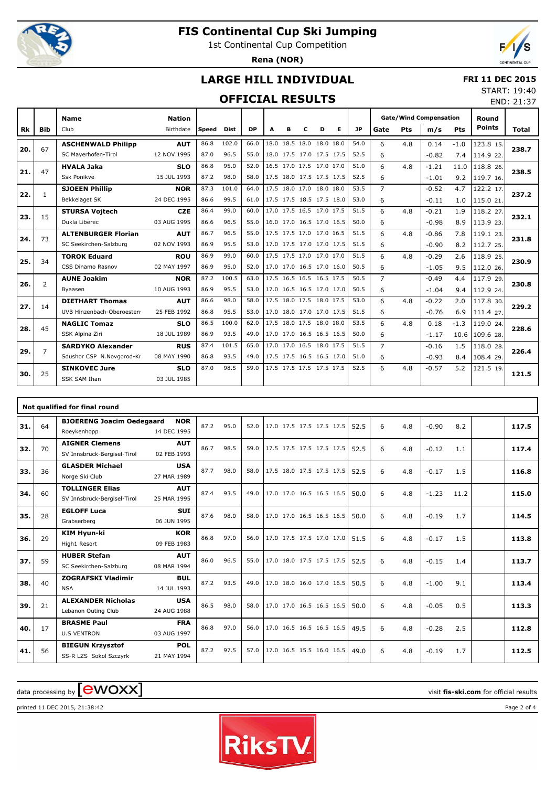

1st Continental Cup Competition

**Rena (NOR)**



END: 21:37

### **LARGE HILL INDIVIDUAL**

#### **FRI 11 DEC 2015** START: 19:40

### **OFFICIAL RESULTS**

|           |                | <b>Name</b>                | <b>Nation</b> |              |             |           |      |   |                          |   |                          |           | <b>Gate/Wind Compensation</b> |            |         |        | Round            |       |
|-----------|----------------|----------------------------|---------------|--------------|-------------|-----------|------|---|--------------------------|---|--------------------------|-----------|-------------------------------|------------|---------|--------|------------------|-------|
| <b>Rk</b> | <b>Bib</b>     | Club                       | Birthdate     | <b>Speed</b> | <b>Dist</b> | <b>DP</b> | A    | в | c                        | D | Е                        | <b>JP</b> | Gate                          | <b>Pts</b> | m/s     | Pts    | <b>Points</b>    | Total |
| 20.       | 67             | <b>ASCHENWALD Philipp</b>  | <b>AUT</b>    | 86.8         | 102.0       | 66.0      |      |   | 18.0 18.5 18.0 18.0 18.0 |   |                          | 54.0      | 6                             | 4.8        | 0.14    | $-1.0$ | 123.8 15.        | 238.7 |
|           |                | SC Mayerhofen-Tirol        | 12 NOV 1995   | 87.0         | 96.5        | 55.0      |      |   | 18.0 17.5 17.0 17.5 17.5 |   |                          | 52.5      | 6                             |            | $-0.82$ | 7.4    | 114.9 22.        |       |
| 21.       | 47             | <b>HVALA Jaka</b>          | <b>SLO</b>    | 86.8         | 95.0        | 52.0      |      |   | 16.5 17.0 17.5 17.0 17.0 |   |                          | 51.0      | 6                             | 4.8        | $-1.21$ | 11.0   | 118.8 26.        | 238.5 |
|           |                | Ssk Ponikve                | 15 JUL 1993   | 87.2         | 98.0        | 58.0      |      |   |                          |   | 17.5 18.0 17.5 17.5 17.5 | 52.5      | 6                             |            | $-1.01$ | 9.2    | 119.7 16.        |       |
| 22.       | 1              | <b>SJOEEN Phillip</b>      | <b>NOR</b>    | 87.3         | 101.0       | 64.0      |      |   | 17.5 18.0 17.0 18.0 18.0 |   |                          | 53.5      | $\overline{7}$                |            | $-0.52$ | 4.7    | 122.2 17.        | 237.2 |
|           |                | Bekkelaget SK              | 24 DEC 1995   | 86.6         | 99.5        | 61.0      |      |   | 17.5 17.5 18.5 17.5 18.0 |   |                          | 53.0      | 6                             |            | $-0.11$ | 1.0    | 115.0 21.        |       |
| 23.       | 15             | <b>STURSA Vojtech</b>      | <b>CZE</b>    | 86.4         | 99.0        | 60.0      |      |   | 17.0 17.5 16.5 17.0 17.5 |   |                          | 51.5      | 6                             | 4.8        | $-0.21$ | 1.9    | 118.2 27.        | 232.1 |
|           |                | Dukla Liberec              | 03 AUG 1995   | 86.6         | 96.5        | 55.0      |      |   |                          |   | 16.0 17.0 16.5 17.0 16.5 | 50.0      | 6                             |            | $-0.98$ | 8.9    | 113.9 23.        |       |
| 24.       | 73             | <b>ALTENBURGER Florian</b> | <b>AUT</b>    | 86.7         | 96.5        | 55.0      |      |   | 17.5 17.5 17.0 17.0 16.5 |   |                          | 51.5      | 6                             | 4.8        | $-0.86$ | 7.8    | 119.1 23.        | 231.8 |
|           |                | SC Seekirchen-Salzburg     | 02 NOV 1993   | 86.9         | 95.5        | 53.0      |      |   |                          |   | 17.0 17.5 17.0 17.0 17.5 | 51.5      | 6                             |            | $-0.90$ | 8.2    | 112.7 25.        |       |
| 25.       | 34             | <b>TOROK Eduard</b>        | <b>ROU</b>    | 86.9         | 99.0        | 60.0      |      |   | 17.5 17.5 17.0 17.0 17.0 |   |                          | 51.5      | 6                             | 4.8        | $-0.29$ | 2.6    | 118.9 25.        | 230.9 |
|           |                | CSS Dinamo Rasnov          | 02 MAY 1997   | 86.9         | 95.0        | 52.0      |      |   |                          |   | 17.0 17.0 16.5 17.0 16.0 | 50.5      | 6                             |            | $-1.05$ | 9.5    | 112.0 26.        |       |
| 26.       | $\overline{2}$ | <b>AUNE Joakim</b>         | <b>NOR</b>    | 87.2         | 100.5       | 63.0      |      |   | 17.5 16.5 16.5 16.5 17.5 |   |                          | 50.5      | $\overline{7}$                |            | $-0.49$ | 4.4    | 117.9 29.        | 230.8 |
|           |                | Byaasen                    | 10 AUG 1993   | 86.9         | 95.5        | 53.0      |      |   |                          |   | 17.0 16.5 16.5 17.0 17.0 | 50.5      | 6                             |            | $-1.04$ | 9.4    | 112.9 24.        |       |
| 27.       | 14             | <b>DIETHART Thomas</b>     | <b>AUT</b>    | 86.6         | 98.0        | 58.0      | 17.5 |   | 18.0 17.5 18.0 17.5      |   |                          | 53.0      | 6                             | 4.8        | $-0.22$ | 2.0    | 117.8 30.        | 229.2 |
|           |                | UVB Hinzenbach-Oberoesterr | 25 FEB 1992   | 86.8         | 95.5        | 53.0      |      |   |                          |   | 17.0 18.0 17.0 17.0 17.5 | 51.5      | 6                             |            | $-0.76$ | 6.9    | 111.4 27.        |       |
| 28.       | 45             | <b>NAGLIC Tomaz</b>        | <b>SLO</b>    | 86.5         | 100.0       | 62.0      | 17.5 |   | 18.0 17.5 18.0 18.0      |   |                          | 53.5      | 6                             | 4.8        | 0.18    | $-1.3$ | 119.0 24.        | 228.6 |
|           |                | SSK Alpina Ziri            | 18 JUL 1989   | 86.9         | 93.5        | 49.0      |      |   |                          |   | 17.0 17.0 16.5 16.5 16.5 | 50.0      | 6                             |            | $-1.17$ |        | $10.6$ 109.6 28. |       |
| 29.       | $\overline{7}$ | <b>SARDYKO Alexander</b>   | <b>RUS</b>    | 87.4         | 101.5       | 65.0      |      |   | 17.0 17.0 16.5 18.0 17.5 |   |                          | 51.5      | $\overline{7}$                |            | $-0.16$ | 1.5    | 118.0 28.        | 226.4 |
|           |                | Sdushor CSP N.Novgorod-Kr  | 08 MAY 1990   | 86.8         | 93.5        | 49.0      |      |   | 17.5 17.5 16.5 16.5 17.0 |   |                          | 51.0      | 6                             |            | $-0.93$ | 8.4    | 108.4 29.        |       |
| 30.       | 25             | <b>SINKOVEC Jure</b>       | <b>SLO</b>    | 87.0         | 98.5        | 59.0      |      |   | 17.5 17.5 17.5 17.5 17.5 |   |                          | 52.5      | 6                             | 4.8        | $-0.57$ | 5.2    | 121.5 19.        | 121.5 |
|           |                | <b>SSK SAM Ihan</b>        | 03 JUL 1985   |              |             |           |      |   |                          |   |                          |           |                               |            |         |        |                  |       |

|     |    | Not qualified for final round                         |                           |      |      |      |                          |  |      |   |     |         |      |       |
|-----|----|-------------------------------------------------------|---------------------------|------|------|------|--------------------------|--|------|---|-----|---------|------|-------|
| 31. | 64 | <b>BJOERENG Joacim Oedegaard</b><br>Roeykenhopp       | <b>NOR</b><br>14 DEC 1995 | 87.2 | 95.0 | 52.0 | 17.0 17.5 17.5 17.5 17.5 |  | 52.5 | 6 | 4.8 | $-0.90$ | 8.2  | 117.5 |
| 32. | 70 | <b>AIGNER Clemens</b><br>SV Innsbruck-Bergisel-Tirol  | <b>AUT</b><br>02 FEB 1993 | 86.7 | 98.5 | 59.0 | 17.5 17.5 17.5 17.5 17.5 |  | 52.5 | 6 | 4.8 | $-0.12$ | 1.1  | 117.4 |
| 33. | 36 | <b>GLASDER Michael</b><br>Norge Ski Club              | <b>USA</b><br>27 MAR 1989 | 87.7 | 98.0 | 58.0 | 17.5 18.0 17.5 17.5 17.5 |  | 52.5 | 6 | 4.8 | $-0.17$ | 1.5  | 116.8 |
| 34. | 60 | <b>TOLLINGER Elias</b><br>SV Innsbruck-Bergisel-Tirol | <b>AUT</b><br>25 MAR 1995 | 87.4 | 93.5 | 49.0 | 17.0 17.0 16.5 16.5 16.5 |  | 50.0 | 6 | 4.8 | $-1.23$ | 11.2 | 115.0 |
| 35. | 28 | <b>EGLOFF Luca</b><br>Grabserberg                     | <b>SUI</b><br>06 JUN 1995 | 87.6 | 98.0 | 58.0 | 17.0 17.0 16.5 16.5 16.5 |  | 50.0 | 6 | 4.8 | $-0.19$ | 1.7  | 114.5 |
| 36. | 29 | KIM Hyun-ki<br>High1 Resort                           | <b>KOR</b><br>09 FEB 1983 | 86.8 | 97.0 | 56.0 | 17.0 17.5 17.5 17.0 17.0 |  | 51.5 | 6 | 4.8 | $-0.17$ | 1.5  | 113.8 |
| 37. | 59 | <b>HUBER Stefan</b><br>SC Seekirchen-Salzburg         | <b>AUT</b><br>08 MAR 1994 | 86.0 | 96.5 | 55.0 | 17.0 18.0 17.5 17.5 17.5 |  | 52.5 | 6 | 4.8 | $-0.15$ | 1.4  | 113.7 |
| 38. | 40 | <b>ZOGRAFSKI Vladimir</b><br><b>NSA</b>               | <b>BUL</b><br>14 JUL 1993 | 87.2 | 93.5 | 49.0 | 17.0 18.0 16.0 17.0 16.5 |  | 50.5 | 6 | 4.8 | $-1.00$ | 9.1  | 113.4 |
| 39. | 21 | <b>ALEXANDER Nicholas</b><br>Lebanon Outing Club      | <b>USA</b><br>24 AUG 1988 | 86.5 | 98.0 | 58.0 | 17.0 17.0 16.5 16.5 16.5 |  | 50.0 | 6 | 4.8 | $-0.05$ | 0.5  | 113.3 |
| 40. | 17 | <b>BRASME Paul</b><br><b>U.S VENTRON</b>              | <b>FRA</b><br>03 AUG 1997 | 86.8 | 97.0 | 56.0 | 17.0 16.5 16.5 16.5 16.5 |  | 49.5 | 6 | 4.8 | $-0.28$ | 2.5  | 112.8 |
| 41. | 56 | <b>BIEGUN Krzysztof</b><br>SS-R LZS Sokol Szczyrk     | <b>POL</b><br>21 MAY 1994 | 87.2 | 97.5 | 57.0 | 17.0 16.5 15.5 16.0 16.5 |  | 49.0 | 6 | 4.8 | $-0.19$ | 1.7  | 112.5 |

# $\frac{1}{2}$  data processing by  $\boxed{\text{ewOX}}$

printed 11 DEC 2015, 21:38:42 Page 2 of 4

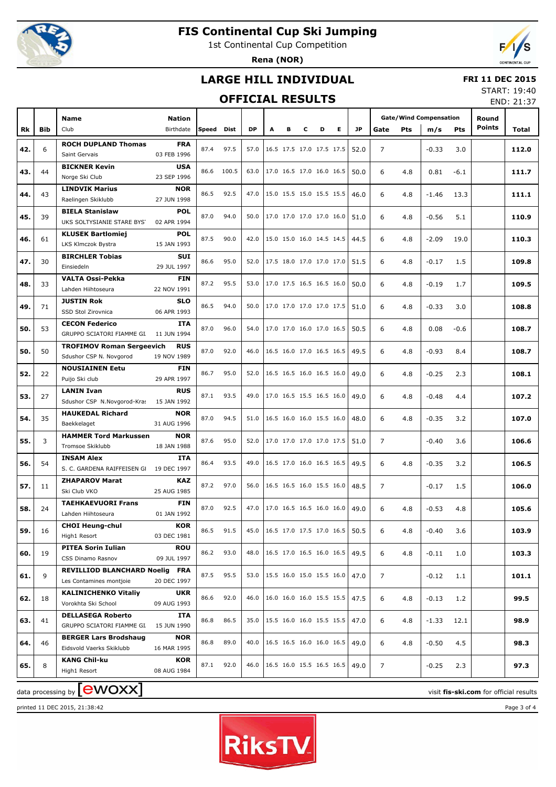

1st Continental Cup Competition

**Rena (NOR)**



#### **LARGE HILL INDIVIDUAL**

#### **FRI 11 DEC 2015**

#### **OFFICIAL RESULTS**

START: 19:40 END: 21:37

|     |            |                                         |             |       |            |           |                          |   |   |   |   |      |                |            |                               |            |               | <b>LIVD. ZI.J/</b> |
|-----|------------|-----------------------------------------|-------------|-------|------------|-----------|--------------------------|---|---|---|---|------|----------------|------------|-------------------------------|------------|---------------|--------------------|
|     |            | Name                                    | Nation      |       |            |           |                          |   |   |   |   |      |                |            | <b>Gate/Wind Compensation</b> |            | Round         |                    |
|     |            |                                         |             |       |            |           |                          |   |   |   |   |      |                |            |                               |            | <b>Points</b> |                    |
| Rk  | <b>Bib</b> | Club                                    | Birthdate   | Speed | Dist       | <b>DP</b> | A                        | в | c | D | Е | JP   | Gate           | <b>Pts</b> | m/s                           | <b>Pts</b> |               | Total              |
|     |            | <b>ROCH DUPLAND Thomas</b>              | <b>FRA</b>  | 87.4  | 97.5       | 57.0      |                          |   |   |   |   |      |                |            |                               |            |               |                    |
| 42. | 6          | Saint Gervais                           | 03 FEB 1996 |       |            |           | 16.5 17.5 17.0 17.5 17.5 |   |   |   |   | 52.0 | $\overline{7}$ |            | $-0.33$                       | 3.0        |               | 112.0              |
|     |            | <b>BICKNER Kevin</b>                    | <b>USA</b>  |       |            |           |                          |   |   |   |   |      |                |            |                               |            |               |                    |
| 43. | 44         | Norge Ski Club                          | 23 SEP 1996 |       | 86.6 100.5 | 63.0      | 17.0 16.5 17.0 16.0 16.5 |   |   |   |   | 50.0 | 6              | 4.8        | 0.81                          | $-6.1$     |               | 111.7              |
|     |            | <b>LINDVIK Marius</b>                   | <b>NOR</b>  |       |            |           |                          |   |   |   |   |      |                |            |                               |            |               |                    |
| 44. | 43         | Raelingen Skiklubb                      | 27 JUN 1998 | 86.5  | 92.5       | 47.0      | 15.0 15.5 15.0 15.5 15.5 |   |   |   |   | 46.0 | 6              | 4.8        | $-1.46$                       | 13.3       |               | 111.1              |
|     |            | <b>BIELA Stanislaw</b>                  | <b>POL</b>  |       |            |           |                          |   |   |   |   |      |                |            |                               |            |               |                    |
| 45. | 39         | UKS SOLTYSIANIE STARE BYST              | 02 APR 1994 | 87.0  | 94.0       | 50.0      | 17.0 17.0 17.0 17.0 16.0 |   |   |   |   | 51.0 | 6              | 4.8        | $-0.56$                       | 5.1        |               | 110.9              |
|     |            | <b>KLUSEK Bartlomiej</b>                | <b>POL</b>  |       |            |           |                          |   |   |   |   |      |                |            |                               |            |               |                    |
| 46. | 61         | LKS Klmczok Bystra                      | 15 JAN 1993 | 87.5  | 90.0       | 42.0      | 15.0 15.0 16.0 14.5 14.5 |   |   |   |   | 44.5 | 6              | 4.8        | $-2.09$                       | 19.0       |               | 110.3              |
|     |            |                                         |             |       |            |           |                          |   |   |   |   |      |                |            |                               |            |               |                    |
| 47. | 30         | <b>BIRCHLER Tobias</b>                  | <b>SUI</b>  | 86.6  | 95.0       | 52.0      | 17.5 18.0 17.0 17.0 17.0 |   |   |   |   | 51.5 | 6              | 4.8        | $-0.17$                       | 1.5        |               | 109.8              |
|     |            | Einsiedeln                              | 29 JUL 1997 |       |            |           |                          |   |   |   |   |      |                |            |                               |            |               |                    |
| 48. | 33         | <b>VALTA Ossi-Pekka</b>                 | <b>FIN</b>  | 87.2  | 95.5       | 53.0      | 17.0 17.5 16.5 16.5 16.0 |   |   |   |   | 50.0 | 6              | 4.8        | $-0.19$                       | 1.7        |               | 109.5              |
|     |            | Lahden Hiihtoseura                      | 22 NOV 1991 |       |            |           |                          |   |   |   |   |      |                |            |                               |            |               |                    |
| 49. | 71         | <b>JUSTIN Rok</b>                       | <b>SLO</b>  | 86.5  | 94.0       | 50.0      | 17.0 17.0 17.0 17.0 17.5 |   |   |   |   | 51.0 | 6              | 4.8        | $-0.33$                       | 3.0        |               | 108.8              |
|     |            | SSD Stol Zirovnica                      | 06 APR 1993 |       |            |           |                          |   |   |   |   |      |                |            |                               |            |               |                    |
| 50. | 53         | <b>CECON Federico</b>                   | <b>ITA</b>  | 87.0  | 96.0       | 54.0      | 17.0 17.0 16.0 17.0 16.5 |   |   |   |   | 50.5 | 6              | 4.8        | 0.08                          | $-0.6$     |               | 108.7              |
|     |            | GRUPPO SCIATORI FIAMME GI. 11 JUN 1994  |             |       |            |           |                          |   |   |   |   |      |                |            |                               |            |               |                    |
| 50. | 50         | <b>TROFIMOV Roman Sergeevich</b>        | <b>RUS</b>  | 87.0  | 92.0       | 46.0      | 16.5 16.0 17.0 16.5 16.5 |   |   |   |   | 49.5 | 6              | 4.8        | $-0.93$                       | 8.4        |               | 108.7              |
|     |            | Sdushor CSP N. Novgorod                 | 19 NOV 1989 |       |            |           |                          |   |   |   |   |      |                |            |                               |            |               |                    |
|     |            | <b>NOUSIAINEN Eetu</b>                  | <b>FIN</b>  |       |            |           |                          |   |   |   |   |      |                |            |                               |            |               |                    |
| 52. | 22         | Puijo Ski club                          | 29 APR 1997 | 86.7  | 95.0       | 52.0      | 16.5 16.5 16.0 16.5 16.0 |   |   |   |   | 49.0 | 6              | 4.8        | $-0.25$                       | 2.3        |               | 108.1              |
|     |            | <b>LANIN Ivan</b>                       | <b>RUS</b>  |       |            |           |                          |   |   |   |   |      |                |            |                               |            |               |                    |
| 53. | 27         | Sdushor CSP N.Novgorod-Kras             | 15 JAN 1992 | 87.1  | 93.5       | 49.0      | 17.0 16.5 15.5 16.5 16.0 |   |   |   |   | 49.0 | 6              | 4.8        | $-0.48$                       | 4.4        |               | 107.2              |
|     |            | <b>HAUKEDAL Richard</b>                 | <b>NOR</b>  |       |            |           |                          |   |   |   |   |      |                |            |                               |            |               |                    |
| 54. | 35         | Baekkelaget                             | 31 AUG 1996 | 87.0  | 94.5       | 51.0      | 16.5 16.0 16.0 15.5 16.0 |   |   |   |   | 48.0 | 6              | 4.8        | $-0.35$                       | 3.2        |               | 107.0              |
|     |            | <b>HAMMER Tord Markussen</b>            | <b>NOR</b>  |       |            |           |                          |   |   |   |   |      |                |            |                               |            |               |                    |
| 55. | 3          | Tromsoe Skiklubb                        | 18 JAN 1988 | 87.6  | 95.0       | 52.0      | 17.0 17.0 17.0 17.0 17.5 |   |   |   |   | 51.0 | $\overline{7}$ |            | $-0.40$                       | 3.6        |               | 106.6              |
|     |            | <b>INSAM Alex</b>                       | <b>ITA</b>  |       |            |           |                          |   |   |   |   |      |                |            |                               |            |               |                    |
| 56. | 54         | S. C. GARDENA RAIFFEISEN GI 19 DEC 1997 |             | 86.4  | 93.5       | 49.0      | 16.5 17.0 16.0 16.5 16.5 |   |   |   |   | 49.5 | 6              | 4.8        | $-0.35$                       | 3.2        |               | 106.5              |
|     |            | <b>ZHAPAROV Marat</b>                   | <b>KAZ</b>  |       |            |           |                          |   |   |   |   |      |                |            |                               |            |               |                    |
| 57. | 11         |                                         |             | 87.2  | 97.0       | 56.0      | 16.5 16.5 16.0 15.5 16.0 |   |   |   |   | 48.5 | $\overline{7}$ |            | $-0.17$                       | 1.5        |               | 106.0              |
|     |            | Ski Club VKO                            | 25 AUG 1985 |       |            |           |                          |   |   |   |   |      |                |            |                               |            |               |                    |
| 58. | 24         | <b>TAEHKAEVUORI Frans</b>               | <b>FIN</b>  | 87.0  | 92.5       | 47.0      | 17.0 16.5 16.5 16.0 16.0 |   |   |   |   | 49.0 | 6              | 4.8        | $-0.53$                       | 4.8        |               | 105.6              |
|     |            | Lahden Hiihtoseura                      | 01 JAN 1992 |       |            |           |                          |   |   |   |   |      |                |            |                               |            |               |                    |
| 59. | 16         | <b>CHOI Heung-chul</b>                  | KOR         | 86.5  | 91.5       | 45.0      | 16.5 17.0 17.5 17.0 16.5 |   |   |   |   | 50.5 | 6              | 4.8        | $-0.40$                       | 3.6        |               | 103.9              |
|     |            | High1 Resort                            | 03 DEC 1981 |       |            |           |                          |   |   |   |   |      |                |            |                               |            |               |                    |
| 60. | 19         | <b>PITEA Sorin Iulian</b>               | <b>ROU</b>  | 86.2  | 93.0       | 48.0      | 16.5 17.0 16.5 16.0 16.5 |   |   |   |   | 49.5 | 6              | 4.8        | $-0.11$                       | 1.0        |               | 103.3              |
|     |            | CSS Dinamo Rasnov                       | 09 JUL 1997 |       |            |           |                          |   |   |   |   |      |                |            |                               |            |               |                    |
| 61. | 9          | REVILLIOD BLANCHARD Noelig FRA          |             | 87.5  | 95.5       | 53.0      | 15.5 16.0 15.0 15.5 16.0 |   |   |   |   | 47.0 | 7              |            | $-0.12$                       | 1.1        |               | 101.1              |
|     |            | Les Contamines montjoie                 | 20 DEC 1997 |       |            |           |                          |   |   |   |   |      |                |            |                               |            |               |                    |
|     |            | <b>KALINICHENKO Vitaliy</b>             | <b>UKR</b>  | 86.6  | 92.0       | 46.0      | 16.0 16.0 16.0 15.5 15.5 |   |   |   |   |      |                |            |                               |            |               |                    |
| 62. | 18         | Vorokhta Ski School                     | 09 AUG 1993 |       |            |           |                          |   |   |   |   | 47.5 | 6              | 4.8        | $-0.13$                       | 1.2        |               | 99.5               |
|     |            | <b>DELLASEGA Roberto</b>                | ITA         |       |            |           |                          |   |   |   |   |      |                |            |                               |            |               |                    |
| 63. | 41         | GRUPPO SCIATORI FIAMME GI.              | 15 JUN 1990 | 86.8  | 86.5       | 35.0      | 15.5 16.0 16.0 15.5 15.5 |   |   |   |   | 47.0 | 6              | 4.8        | $-1.33$                       | 12.1       |               | 98.9               |
|     |            | <b>BERGER Lars Brodshaug</b>            | <b>NOR</b>  |       |            |           |                          |   |   |   |   |      |                |            |                               |            |               |                    |
| 64. | 46         | Eidsvold Vaerks Skiklubb                | 16 MAR 1995 | 86.8  | 89.0       | 40.0      | 16.5 16.5 16.0 16.0 16.5 |   |   |   |   | 49.0 | 6              | 4.8        | $-0.50$                       | 4.5        |               | 98.3               |
|     |            | <b>KANG Chil-ku</b>                     | <b>KOR</b>  |       |            |           |                          |   |   |   |   |      |                |            |                               |            |               |                    |
| 65. | 8          | High1 Resort                            | 08 AUG 1984 | 87.1  | 92.0       | 46.0      | 16.5 16.0 15.5 16.5 16.5 |   |   |   |   | 49.0 | 7              |            | $-0.25$                       | 2.3        |               | 97.3               |
|     |            |                                         |             |       |            |           |                          |   |   |   |   |      |                |            |                               |            |               |                    |

printed 11 DEC 2015, 21:38:42 Page 3 of 4



 $\alpha$  data processing by  $\boxed{\text{ewOX}}$